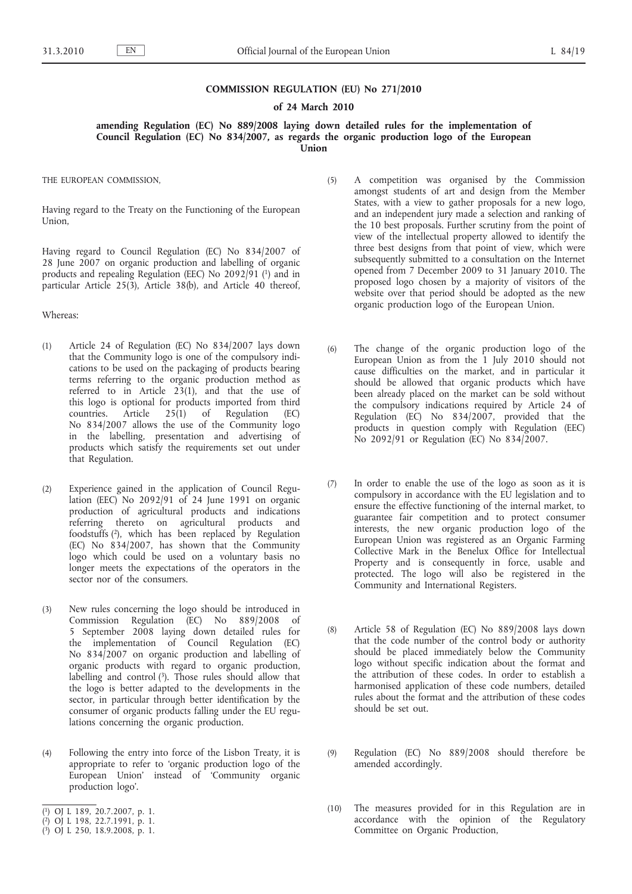### **COMMISSION REGULATION (EU) No 271/2010**

## **of 24 March 2010**

**amending Regulation (EC) No 889/2008 laying down detailed rules for the implementation of Council Regulation (EC) No 834/2007, as regards the organic production logo of the European Union**

THE EUROPEAN COMMISSION,

Having regard to the Treaty on the Functioning of the European Union,

Having regard to Council Regulation (EC) No 834/2007 of 28 June 2007 on organic production and labelling of organic products and repealing Regulation (EEC) No 2092/91 (1) and in particular Article 25(3), Article 38(b), and Article 40 thereof,

Whereas:

- (1) Article 24 of Regulation (EC) No 834/2007 lays down that the Community logo is one of the compulsory indications to be used on the packaging of products bearing terms referring to the organic production method as referred to in Article 23(1), and that the use of this logo is optional for products imported from third countries. Article 25(1) of Regulation (EC) No 834/2007 allows the use of the Community logo in the labelling, presentation and advertising of products which satisfy the requirements set out under that Regulation.
- (2) Experience gained in the application of Council Regulation (EEC) No 2092/91 of 24 June 1991 on organic production of agricultural products and indications referring thereto on agricultural products and foodstuffs (2), which has been replaced by Regulation (EC) No 834/2007, has shown that the Community logo which could be used on a voluntary basis no longer meets the expectations of the operators in the sector nor of the consumers.
- (3) New rules concerning the logo should be introduced in Commission Regulation (EC) No 889/2008 of 5 September 2008 laying down detailed rules for the implementation of Council Regulation (EC) No 834/2007 on organic production and labelling of organic products with regard to organic production, labelling and control  $(3)$ . Those rules should allow that the logo is better adapted to the developments in the sector, in particular through better identification by the consumer of organic products falling under the EU regulations concerning the organic production.
- (4) Following the entry into force of the Lisbon Treaty, it is appropriate to refer to 'organic production logo of the European Union' instead of 'Community organic production logo'.
- ( 1) OJ L 189, 20.7.2007, p. 1.
- ( 2) OJ L 198, 22.7.1991, p. 1.
- ( 3) OJ L 250, 18.9.2008, p. 1.
- (5) A competition was organised by the Commission amongst students of art and design from the Member States, with a view to gather proposals for a new logo, and an independent jury made a selection and ranking of the 10 best proposals. Further scrutiny from the point of view of the intellectual property allowed to identify the three best designs from that point of view, which were subsequently submitted to a consultation on the Internet opened from 7 December 2009 to 31 January 2010. The proposed logo chosen by a majority of visitors of the website over that period should be adopted as the new organic production logo of the European Union.
- (6) The change of the organic production logo of the European Union as from the 1 July 2010 should not cause difficulties on the market, and in particular it should be allowed that organic products which have been already placed on the market can be sold without the compulsory indications required by Article 24 of Regulation (EC) No 834/2007, provided that the products in question comply with Regulation (EEC) No 2092/91 or Regulation (EC) No 834/2007.
- (7) In order to enable the use of the logo as soon as it is compulsory in accordance with the EU legislation and to ensure the effective functioning of the internal market, to guarantee fair competition and to protect consumer interests, the new organic production logo of the European Union was registered as an Organic Farming Collective Mark in the Benelux Office for Intellectual Property and is consequently in force, usable and protected. The logo will also be registered in the Community and International Registers.
- (8) Article 58 of Regulation (EC) No 889/2008 lays down that the code number of the control body or authority should be placed immediately below the Community logo without specific indication about the format and the attribution of these codes. In order to establish a harmonised application of these code numbers, detailed rules about the format and the attribution of these codes should be set out.
- (9) Regulation (EC) No 889/2008 should therefore be amended accordingly.
- (10) The measures provided for in this Regulation are in accordance with the opinion of the Regulatory Committee on Organic Production,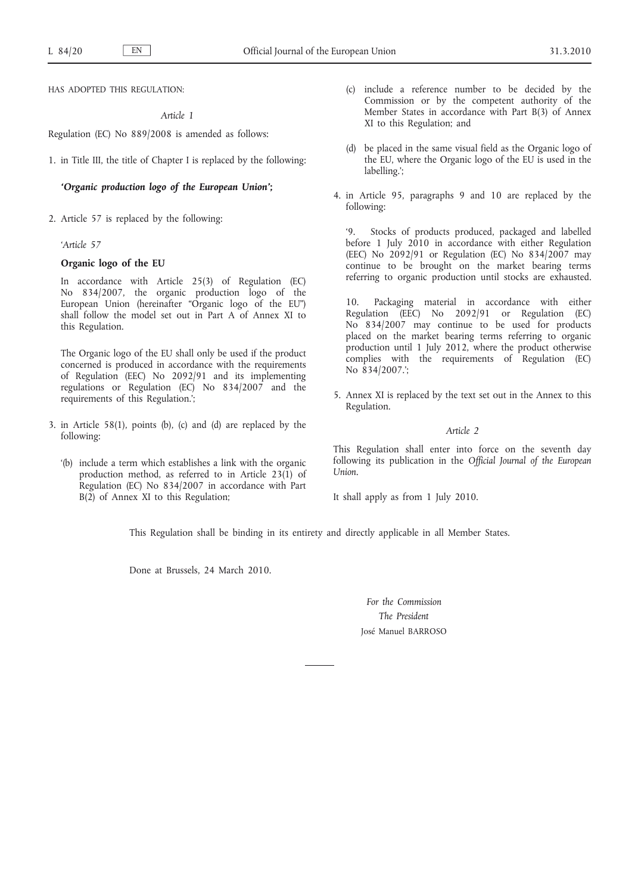HAS ADOPTED THIS REGULATION:

*Article 1*

Regulation (EC) No 889/2008 is amended as follows:

1. in Title III, the title of Chapter I is replaced by the following:

## *'Organic production logo of the European Union'***;**

2. Article 57 is replaced by the following:

# *'Article 57*

# **Organic logo of the EU**

In accordance with Article 25(3) of Regulation (EC) No 834/2007, the organic production logo of the European Union (hereinafter "Organic logo of the EU") shall follow the model set out in Part A of Annex XI to this Regulation.

The Organic logo of the EU shall only be used if the product concerned is produced in accordance with the requirements of Regulation (EEC) No 2092/91 and its implementing regulations or Regulation (EC) No 834/2007 and the requirements of this Regulation.';

- 3. in Article 58(1), points (b), (c) and (d) are replaced by the following:
	- '(b) include a term which establishes a link with the organic production method, as referred to in Article 23(1) of Regulation (EC) No 834/2007 in accordance with Part B(2) of Annex XI to this Regulation;
- (c) include a reference number to be decided by the Commission or by the competent authority of the Member States in accordance with Part B(3) of Annex XI to this Regulation; and
- (d) be placed in the same visual field as the Organic logo of the EU, where the Organic logo of the EU is used in the labelling.';
- 4. in Article 95, paragraphs 9 and 10 are replaced by the following:

Stocks of products produced, packaged and labelled before 1 July 2010 in accordance with either Regulation (EEC) No 2092/91 or Regulation (EC) No 834/2007 may continue to be brought on the market bearing terms referring to organic production until stocks are exhausted.

10. Packaging material in accordance with either Regulation (EEC) No 2092/91 or Regulation (EC) No 834/2007 may continue to be used for products placed on the market bearing terms referring to organic production until 1 July 2012, where the product otherwise complies with the requirements of Regulation (EC) No 834/2007.';

5. Annex XI is replaced by the text set out in the Annex to this Regulation.

#### *Article 2*

This Regulation shall enter into force on the seventh day following its publication in the *Official Journal of the European Union*.

It shall apply as from 1 July 2010.

This Regulation shall be binding in its entirety and directly applicable in all Member States.

Done at Brussels, 24 March 2010.

*For the Commission The President* José Manuel BARROSO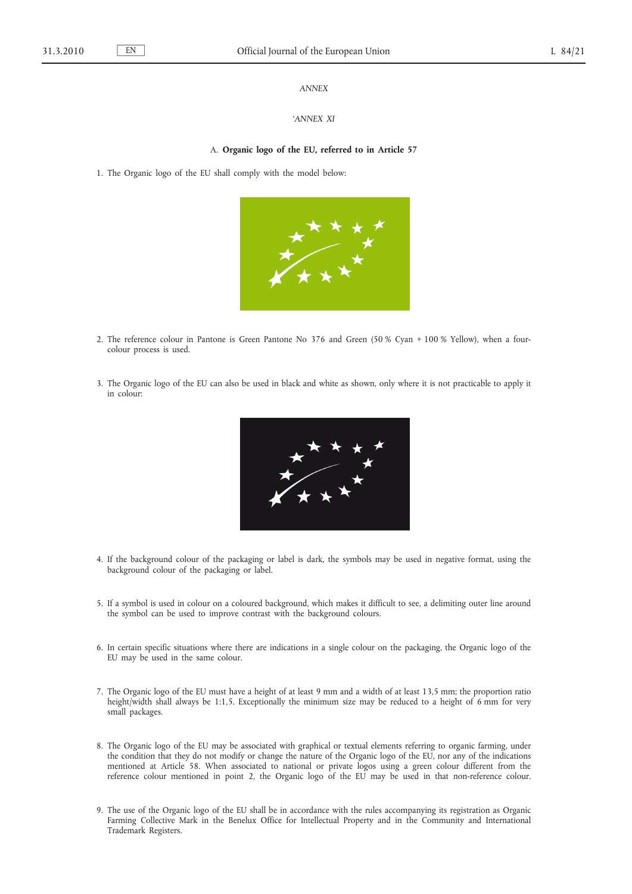## *ANNEX*

#### *'ANNEX XI*

#### A. **Organic logo of the EU, referred to in Article 57**

1. The Organic logo of the EU shall comply with the model below:



- 2. The reference colour in Pantone is Green Pantone No 376 and Green (50 % Cyan + 100 % Yellow), when a fourcolour process is used.
- 3. The Organic logo of the EU can also be used in black and white as shown, only where it is not practicable to apply it in colour:



- 4. If the background colour of the packaging or label is dark, the symbols may be used in negative format, using the background colour of the packaging or label.
- 5. If a symbol is used in colour on a coloured background, which makes it difficult to see, a delimiting outer line around the symbol can be used to improve contrast with the background colours.
- 6. In certain specific situations where there are indications in a single colour on the packaging, the Organic logo of the EU may be used in the same colour.
- 7. The Organic logo of the EU must have a height of at least 9 mm and a width of at least 13,5 mm; the proportion ratio height/width shall always be 1:1,5. Exceptionally the minimum size may be reduced to a height of 6 mm for very small packages.
- 8. The Organic logo of the EU may be associated with graphical or textual elements referring to organic farming, under the condition that they do not modify or change the nature of the Organic logo of the EU, nor any of the indications mentioned at Article 58. When associated to national or private logos using a green colour different from the reference colour mentioned in point 2, the Organic logo of the EU may be used in that non-reference colour.
- 9. The use of the Organic logo of the EU shall be in accordance with the rules accompanying its registration as Organic Farming Collective Mark in the Benelux Office for Intellectual Property and in the Community and International Trademark Registers.